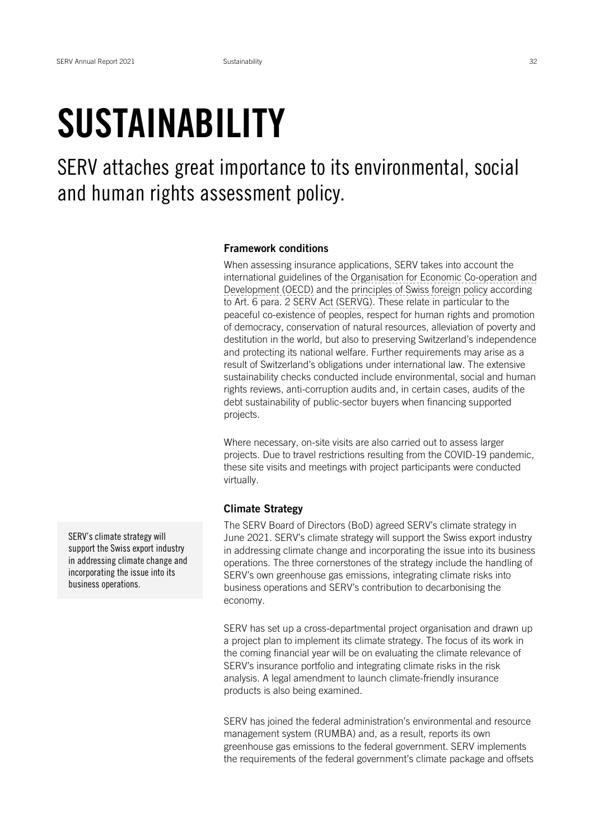## SUSTAINABILITY

SERV attaches great importance to its environmental, social and human rights assessment policy.

## Framework conditions

When assessing insurance applications, SERV takes into account the international guidelines of the [Organisation for Economic Co-operation and](https://www.serv-ch.com/en/glossary/detail/term/arrangement-on-officially-supported-export-credits-oecd-export-credit-group) Development(OECD) and the principles of Swiss foreign policy according to Art. 6 para. 2 SERV Act (SERVG). These relate in particular to the peaceful co-existence of peoples, respect for human rights and promotion of democracy, conservation of natural resources, alleviation of poverty and destitution in the world, but also to preserving Switzerland's independence and protecting its national welfare. Further requirements may arise as a result of Switzerland's obligations under international law. The extensive sustainability checks conducted include environmental, social and human rights reviews, anti-corruption audits and, in certain cases, audits of the debt sustainability of public-sector buyers when financing supported projects.

Where necessary, on-site visits are also carried out to assess larger projects. Due to travel restrictions resulting from the COVID-19 pandemic, these site visits and meetings with project participants were conducted virtually.

## Climate Strategy

The SERV Board of Directors (BoD) agreed SERV's climate strategy in June 2021. SERV's climate strategy will support the Swiss export industry in addressing climate change and incorporating the issue into its business operations. The three cornerstones of the strategy include the handling of SERV's own greenhouse gas emissions, integrating climate risks into business operations and SERV's contribution to decarbonising the economy.

SERV has set up a cross-departmental project organisation and drawn up a project plan to implement its climate strategy. The focus of its work in the coming financial year will be on evaluating the climate relevance of SERV's insurance portfolio and integrating climate risks in the risk analysis. A legal amendment to launch climate-friendly insurance products is also being examined.

SERV has joined the federal administration's environmental and resource management system (RUMBA) and, as a result, reports its own greenhouse gas emissions to the federal government. SERV implements the requirements of the federal government's climate package and offsets

SERV's climate strategy will support the Swiss export industry in addressing climate change and incorporating the issue into its business operations.